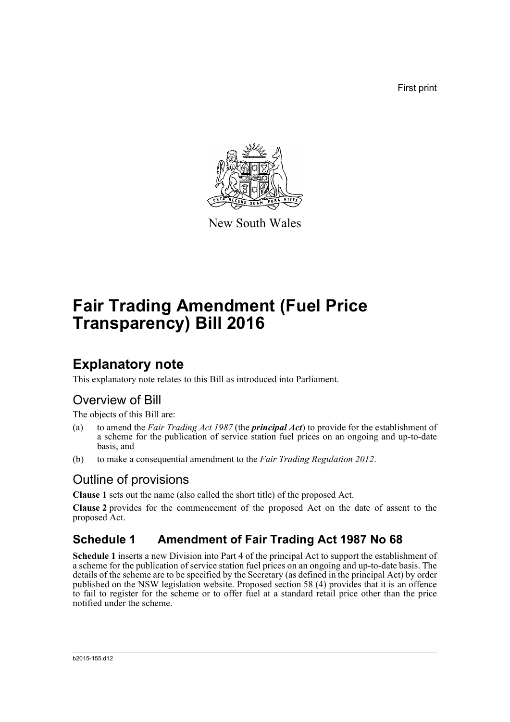First print



New South Wales

# **Fair Trading Amendment (Fuel Price Transparency) Bill 2016**

## **Explanatory note**

This explanatory note relates to this Bill as introduced into Parliament.

## Overview of Bill

The objects of this Bill are:

- (a) to amend the *Fair Trading Act 1987* (the *principal Act*) to provide for the establishment of a scheme for the publication of service station fuel prices on an ongoing and up-to-date basis, and
- (b) to make a consequential amendment to the *Fair Trading Regulation 2012*.

#### Outline of provisions

**Clause 1** sets out the name (also called the short title) of the proposed Act.

**Clause 2** provides for the commencement of the proposed Act on the date of assent to the proposed Act.

## **Schedule 1 Amendment of Fair Trading Act 1987 No 68**

**Schedule 1** inserts a new Division into Part 4 of the principal Act to support the establishment of a scheme for the publication of service station fuel prices on an ongoing and up-to-date basis. The details of the scheme are to be specified by the Secretary (as defined in the principal Act) by order published on the NSW legislation website. Proposed section 58 (4) provides that it is an offence to fail to register for the scheme or to offer fuel at a standard retail price other than the price notified under the scheme.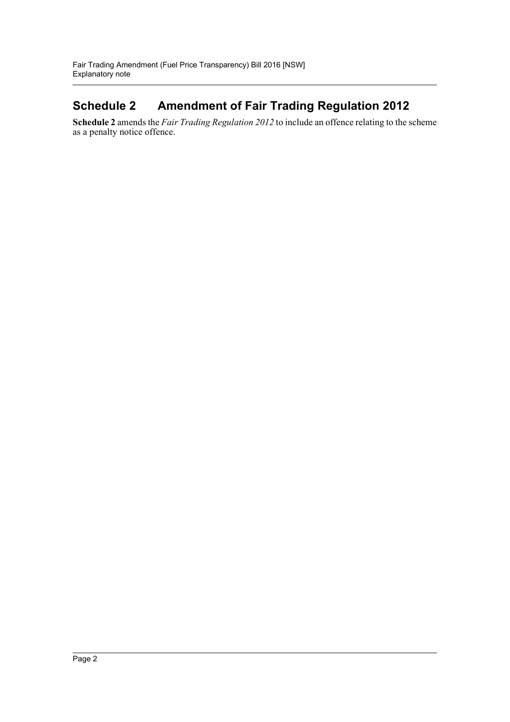## **Schedule 2 Amendment of Fair Trading Regulation 2012**

**Schedule 2** amends the *Fair Trading Regulation 2012* to include an offence relating to the scheme as a penalty notice offence.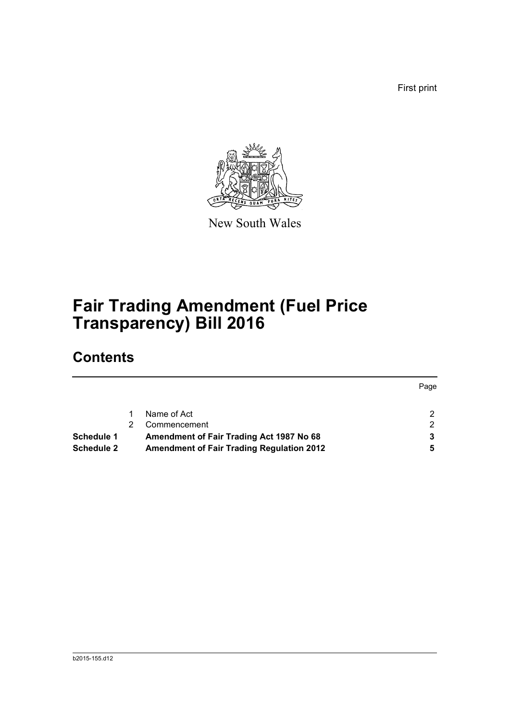First print



New South Wales

## **Fair Trading Amendment (Fuel Price Transparency) Bill 2016**

## **Contents**

|            |                                                  | Page |
|------------|--------------------------------------------------|------|
|            | Name of Act                                      |      |
|            | Commencement                                     |      |
| Schedule 1 | Amendment of Fair Trading Act 1987 No 68         |      |
| Schedule 2 | <b>Amendment of Fair Trading Regulation 2012</b> | 5    |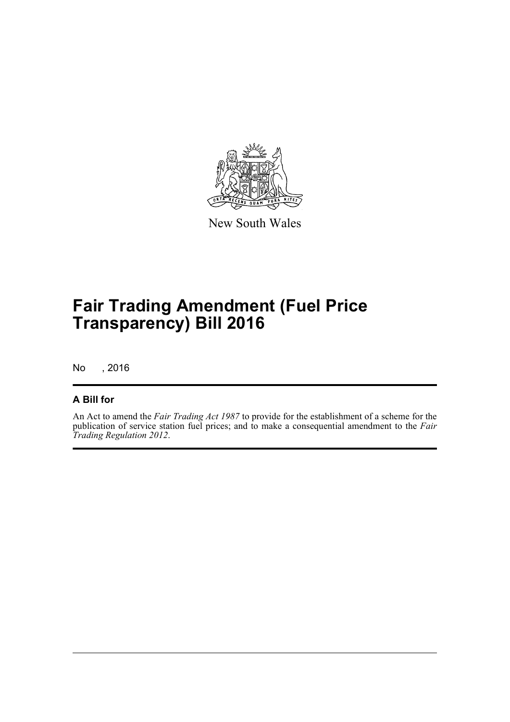

New South Wales

## **Fair Trading Amendment (Fuel Price Transparency) Bill 2016**

No , 2016

#### **A Bill for**

An Act to amend the *Fair Trading Act 1987* to provide for the establishment of a scheme for the publication of service station fuel prices; and to make a consequential amendment to the *Fair Trading Regulation 2012*.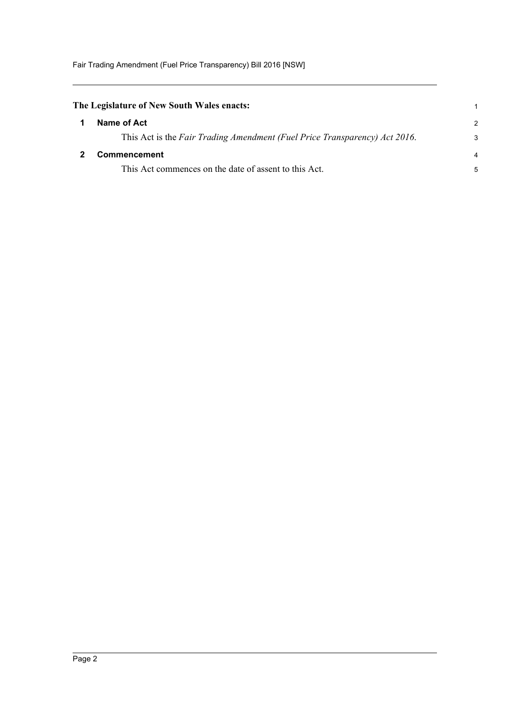<span id="page-4-1"></span><span id="page-4-0"></span>

| The Legislature of New South Wales enacts: |                                                                            |                |
|--------------------------------------------|----------------------------------------------------------------------------|----------------|
|                                            | Name of Act                                                                | $\mathcal{P}$  |
|                                            | This Act is the Fair Trading Amendment (Fuel Price Transparency) Act 2016. | 3              |
|                                            | Commencement                                                               | $\overline{a}$ |
|                                            | This Act commences on the date of assent to this Act.                      | 5              |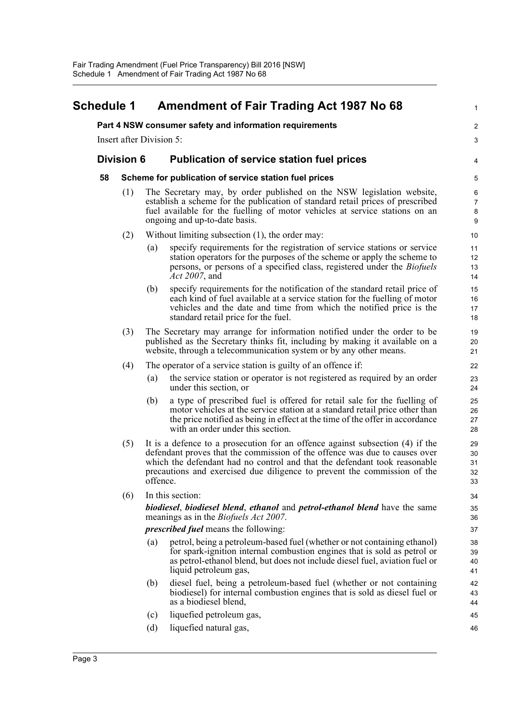#### <span id="page-5-0"></span>**Schedule 1 Amendment of Fair Trading Act 1987 No 68 Part 4 NSW consumer safety and information requirements** Insert after Division 5: **Division 6 Publication of service station fuel prices 58 Scheme for publication of service station fuel prices**  (1) The Secretary may, by order published on the NSW legislation website, establish a scheme for the publication of standard retail prices of prescribed fuel available for the fuelling of motor vehicles at service stations on an ongoing and up-to-date basis. (2) Without limiting subsection (1), the order may: (a) specify requirements for the registration of service stations or service station operators for the purposes of the scheme or apply the scheme to persons, or persons of a specified class, registered under the *Biofuels Act 2007*, and (b) specify requirements for the notification of the standard retail price of each kind of fuel available at a service station for the fuelling of motor vehicles and the date and time from which the notified price is the standard retail price for the fuel. (3) The Secretary may arrange for information notified under the order to be published as the Secretary thinks fit, including by making it available on a website, through a telecommunication system or by any other means. (4) The operator of a service station is guilty of an offence if: (a) the service station or operator is not registered as required by an order under this section, or (b) a type of prescribed fuel is offered for retail sale for the fuelling of motor vehicles at the service station at a standard retail price other than the price notified as being in effect at the time of the offer in accordance with an order under this section. (5) It is a defence to a prosecution for an offence against subsection (4) if the defendant proves that the commission of the offence was due to causes over which the defendant had no control and that the defendant took reasonable precautions and exercised due diligence to prevent the commission of the offence. (6) In this section: *biodiesel*, *biodiesel blend*, *ethanol* and *petrol-ethanol blend* have the same meanings as in the *Biofuels Act 2007*. *prescribed fuel* means the following: (a) petrol, being a petroleum-based fuel (whether or not containing ethanol) for spark-ignition internal combustion engines that is sold as petrol or as petrol-ethanol blend, but does not include diesel fuel, aviation fuel or liquid petroleum gas, (b) diesel fuel, being a petroleum-based fuel (whether or not containing biodiesel) for internal combustion engines that is sold as diesel fuel or as a biodiesel blend, (c) liquefied petroleum gas, (d) liquefied natural gas, 1  $\overline{2}$ 3 4 5 6 7 8 9 10 11 12 13 14 15 16 17 18 19 20 21 22 23 24 25 26 27 28 29 30 31 32 33 34 35 36 37 38 39 40 41 42 43 44 45 46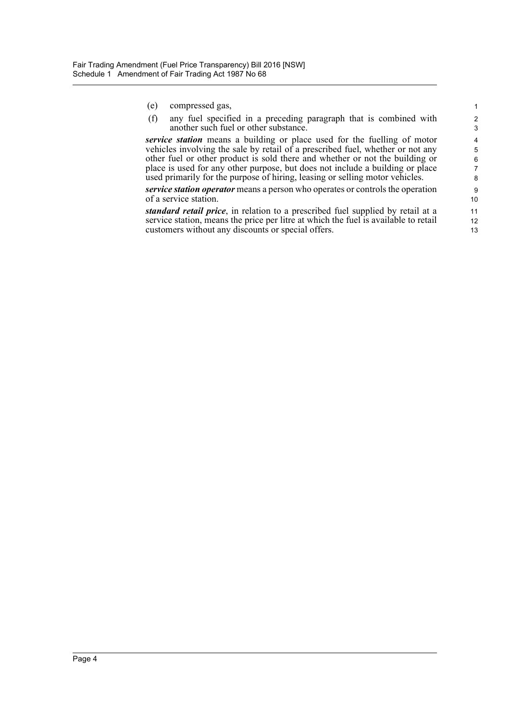- (e) compressed gas,
- (f) any fuel specified in a preceding paragraph that is combined with another such fuel or other substance.

*service station* means a building or place used for the fuelling of motor vehicles involving the sale by retail of a prescribed fuel, whether or not any other fuel or other product is sold there and whether or not the building or place is used for any other purpose, but does not include a building or place used primarily for the purpose of hiring, leasing or selling motor vehicles.

*service station operator* means a person who operates or controls the operation of a service station.

*standard retail price*, in relation to a prescribed fuel supplied by retail at a service station, means the price per litre at which the fuel is available to retail customers without any discounts or special offers.